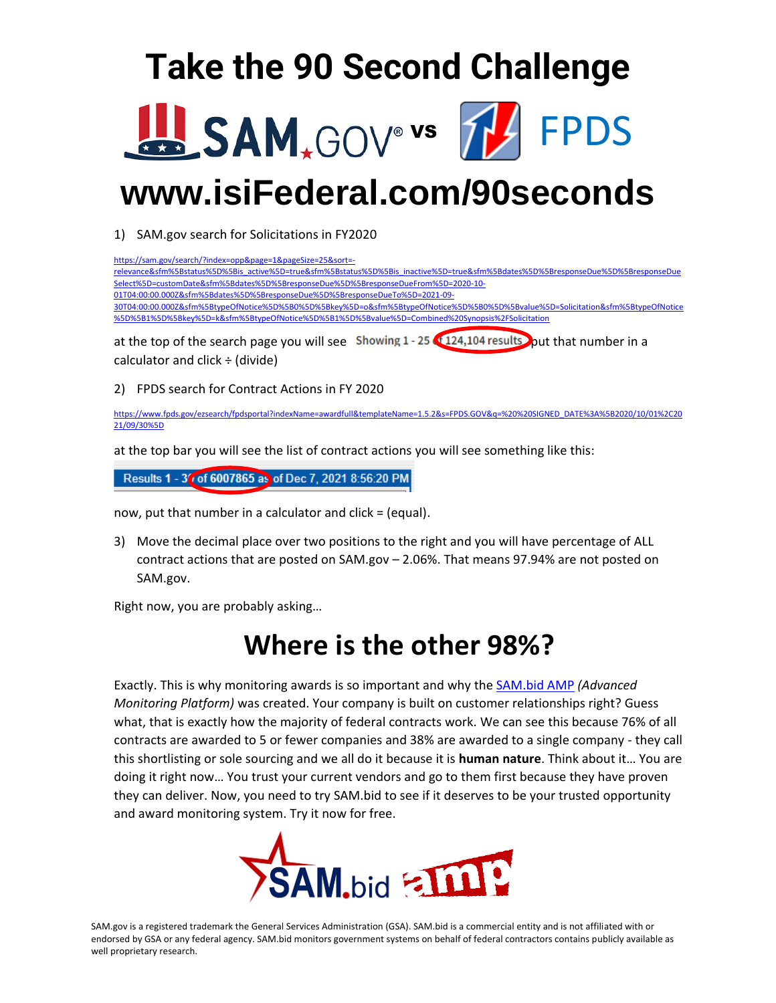# **Take the 90 Second Challenge**





# **www.isiFederal.com/90seconds**

1) SAM.gov search for Solicitations in FY2020

| https://sam.gov/search/?index=opp&page=1&pageSize=25&sort=-                                                                       |
|-----------------------------------------------------------------------------------------------------------------------------------|
| relevance&sfm%5Bstatus%5D%5Bis_active%5D=true&sfm%5Bstatus%5D%5Bis_inactive%5D=true&sfm%5Bdates%5D%5BresponseDue%5D%5BresponseDue |
| Select%5D=customDate&sfm%5Bdates%5D%5BresponseDue%5D%5BresponseDueFrom%5D=2020-10-                                                |
| 01T04:00:00.000Z&sfm%5Bdates%5D%5BresponseDue%5D%5BresponseDueTo%5D=2021-09-                                                      |
| 30T04:00:00.0002&sfm%5BtypeOfNotice%5D%5B0%5D%5Bkey%5D=o&sfm%5BtypeOfNotice%5D%5B0%5D%5Bvalue%5D=Solicitation&sfm%5BtypeOfNotice  |
| %5D%5B1%5D%5Bkey%5D=k&sfm%5BtypeOfNotice%5D%5B1%5D%5Bvalue%5D=Combined%20Synopsis%2FSolicitation                                  |
| $\mathbf{C}$                                                                                                                      |
|                                                                                                                                   |

at the top of the search page you will see Showing  $1 - 25$  (124,104 results) put that number in a calculator and click  $\div$  (divide)

2) FPDS search for Contract Actions in FY 2020

[https://www.fpds.gov/ezsearch/fpdsportal?indexName=awardfull&templateName=1.5.2&s=FPDS.GOV&q=%20%20SIGNED\\_DATE%3A%5B2020/10/01%2C20](https://www.fpds.gov/ezsearch/fpdsportal?indexName=awardfull&templateName=1.5.2&s=FPDS.GOV&q=%20%20SIGNED_DATE%3A%5B2020/10/01%2C2021/09/30%5D) [21/09/30%5D](https://www.fpds.gov/ezsearch/fpdsportal?indexName=awardfull&templateName=1.5.2&s=FPDS.GOV&q=%20%20SIGNED_DATE%3A%5B2020/10/01%2C2021/09/30%5D)

at the top bar you will see the list of contract actions you will see something like this:

Results 1 - 3 (of 6007865 as of Dec 7, 2021 8:56:20 PM

now, put that number in a calculator and click = (equal).

3) Move the decimal place over two positions to the right and you will have percentage of ALL contract actions that are posted on SAM.gov – 2.06%. That means 97.94% are not posted on SAM.gov.

Right now, you are probably asking…

## **Where is the other 98%?**

Exactly. This is why monitoring awards is so important and why the [SAM.bid AMP](https://sam.bid/) *(Advanced Monitoring Platform)* was created. Your company is built on customer relationships right? Guess what, that is exactly how the majority of federal contracts work. We can see this because 76% of all contracts are awarded to 5 or fewer companies and 38% are awarded to a single company - they call this shortlisting or sole sourcing and we all do it because it is **human nature**. Think about it… You are doing it right now… You trust your current vendors and go to them first because they have proven they can deliver. Now, you need to try SAM.bid to see if it deserves to be your trusted opportunity and award monitoring system. Try it now for free.



SAM.gov is a registered trademark the General Services Administration (GSA). SAM.bid is a commercial entity and is not affiliated with or endorsed by GSA or any federal agency. SAM.bid monitors government systems on behalf of federal contractors contains publicly available as well proprietary research.